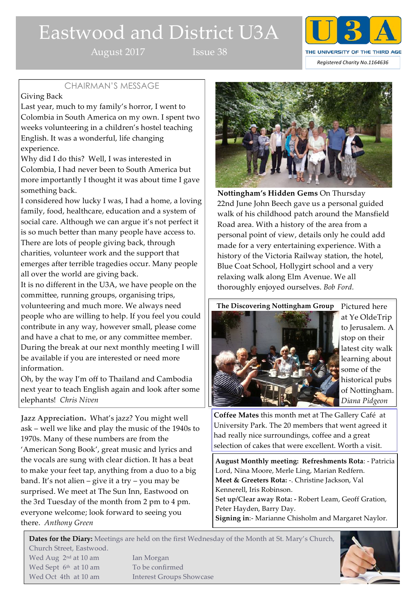# Eastwood and District U3A

August 2017 Issue 38



# CHAIRMAN'S MESSAGE

# Giving Back

Last year, much to my family's horror, I went to Colombia in South America on my own. I spent two weeks volunteering in a children's hostel teaching English. It was a wonderful, life changing experience.

Why did I do this? Well, I was interested in Colombia, I had never been to South America but more importantly I thought it was about time I gave something back.

I considered how lucky I was, I had a home, a loving family, food, healthcare, education and a system of social care. Although we can argue it's not perfect it is so much better than many people have access to. There are lots of people giving back, through charities, volunteer work and the support that emerges after terrible tragedies occur. Many people all over the world are giving back.

It is no different in the U3A, we have people on the committee, running groups, organising trips, volunteering and much more. We always need people who are willing to help. If you feel you could contribute in any way, however small, please come and have a chat to me, or any committee member. During the break at our next monthly meeting I will be available if you are interested or need more information.

Oh, by the way I'm off to Thailand and Cambodia next year to teach English again and look after some elephants! *Chris Niven*

**Jazz Appreciation.** What's jazz? You might well ask – well we like and play the music of the 1940s to 1970s. Many of these numbers are from the 'American Song Book', great music and lyrics and the vocals are sung with clear diction. It has a beat to make your feet tap, anything from a duo to a big band. It's not alien – give it a try – you may be surprised. We meet at The Sun Inn, Eastwood on the 3rd Tuesday of the month from 2 pm to 4 pm. everyone welcome; look forward to seeing you there. *Anthony Green*

Wed Oct 4th at 10 am Interest Groups Showcase



**Nottingham's Hidden Gems** On Thursday 22nd June John Beech gave us a personal guided walk of his childhood patch around the Mansfield Road area. With a history of the area from a personal point of view, details only he could add made for a very entertaining experience. With a history of the Victoria Railway station, the hotel, Blue Coat School, Hollygirt school and a very relaxing walk along Elm Avenue. We all thoroughly enjoyed ourselves. *Bob Ford.*





Pictured here at Ye OldeTrip to Jerusalem. A stop on their latest city walk learning about some of the historical pubs of Nottingham. *Diana Pidgeon*

**Coffee Mates** this month met at The Gallery Café at University Park. The 20 members that went agreed it had really nice surroundings, coffee and a great selection of cakes that were excellent. Worth a visit.

**August Monthly meeting: Refreshments Rota**: - Patricia Lord, Nina Moore, Merle Ling, Marian Redfern. **Meet & Greeters Rota:** -. Christine Jackson, Val Kennerell, Iris Robinson. **Set up/Clear away Rota: -** Robert Leam, Geoff Gration, Peter Hayden, Barry Day. **Signing in**:- Marianne Chisholm and Margaret Naylor.

**Dates for the Diary:** Meetings are held on the first Wednesday of the Month at St. Mary's Church, Church Street, Eastwood. Wed Aug 2<sup>nd</sup> at 10 am Ian Morgan Wed Sept 6<sup>th</sup> at 10 am To be confirmed